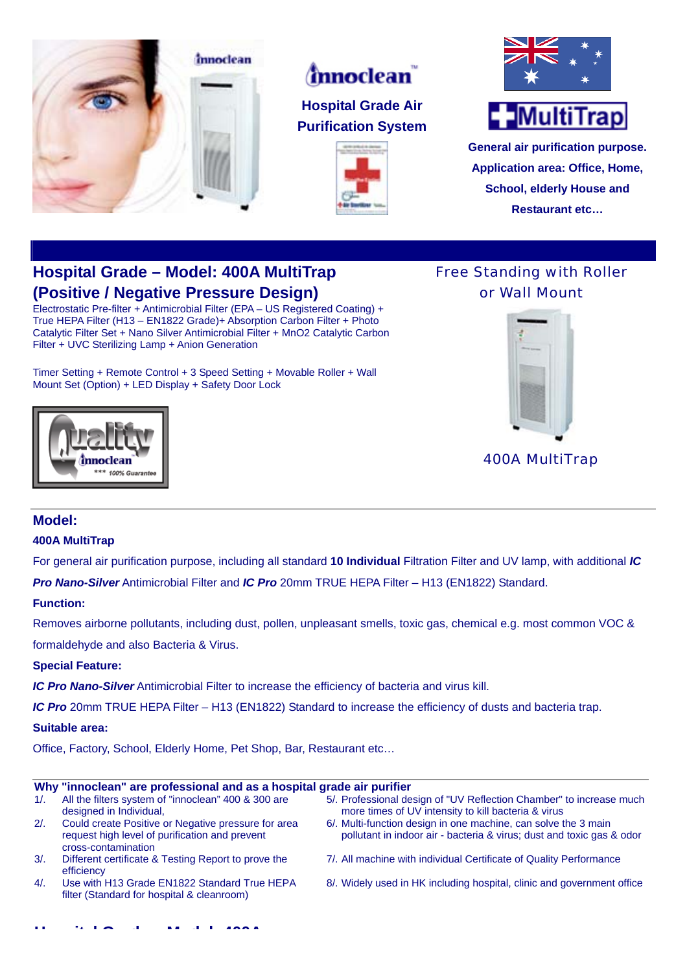

# *innoclean*

# **Hospital Grade Air Purification System**





**General air purification purpose. Application area: Office, Home, School, elderly House and Restaurant etc…**

# **Hospital Grade – Model: 400A MultiTrap (Positive / Negative Pressure Design)**

Electrostatic Pre-filter + Antimicrobial Filter (EPA – US Registered Coating) + True HEPA Filter (H13 – EN1822 Grade)+ Absorption Carbon Filter + Photo Catalytic Filter Set + Nano Silver Antimicrobial Filter + MnO2 Catalytic Carbon Filter + UVC Sterilizing Lamp + Anion Generation

Timer Setting + Remote Control + 3 Speed Setting + Movable Roller + Wall Mount Set (Option) + LED Display + Safety Door Lock





400A MultiTrap

# **Model:**

### **400A MultiTrap**

mnoclean \*\*\* 100% Guarante

For general air purification purpose, including all standard **10 Individual** Filtration Filter and UV lamp, with additional *IC* 

*Pro Nano-Silver* Antimicrobial Filter and *IC Pro* 20mm TRUE HEPA Filter – H13 (EN1822) Standard.

### **Function:**

Removes airborne pollutants, including dust, pollen, unpleasant smells, toxic gas, chemical e.g. most common VOC & formaldehyde and also Bacteria & Virus.

# **Special Feature:**

*IC Pro Nano-Silver* Antimicrobial Filter to increase the efficiency of bacteria and virus kill.

*IC Pro* 20mm TRUE HEPA Filter – H13 (EN1822) Standard to increase the efficiency of dusts and bacteria trap.

### **Suitable area:**

Office, Factory, School, Elderly Home, Pet Shop, Bar, Restaurant etc…

**H it l G d M d l 400A**

#### **Why "innoclean" are professional and as a hospital grade air purifier**

| 1/2    | All the filters system of "innoclean" 400 & 300 are<br>designed in Individual,                                               | 5/. Professional design of "UV Reflection Chamber" to increase much<br>more times of UV intensity to kill bacteria & virus              |
|--------|------------------------------------------------------------------------------------------------------------------------------|-----------------------------------------------------------------------------------------------------------------------------------------|
| 2/2    | Could create Positive or Negative pressure for area<br>request high level of purification and prevent<br>cross-contamination | 6/. Multi-function design in one machine, can solve the 3 main<br>pollutant in indoor air - bacteria & virus; dust and toxic gas & odor |
| $3/$ . | Different certificate & Testing Report to prove the<br>efficiency                                                            | 7/. All machine with individual Certificate of Quality Performance                                                                      |
| $4/$ . | Use with H13 Grade EN1822 Standard True HEPA<br>filter (Standard for hospital & cleanroom)                                   | 8/. Widely used in HK including hospital, clinic and government office                                                                  |